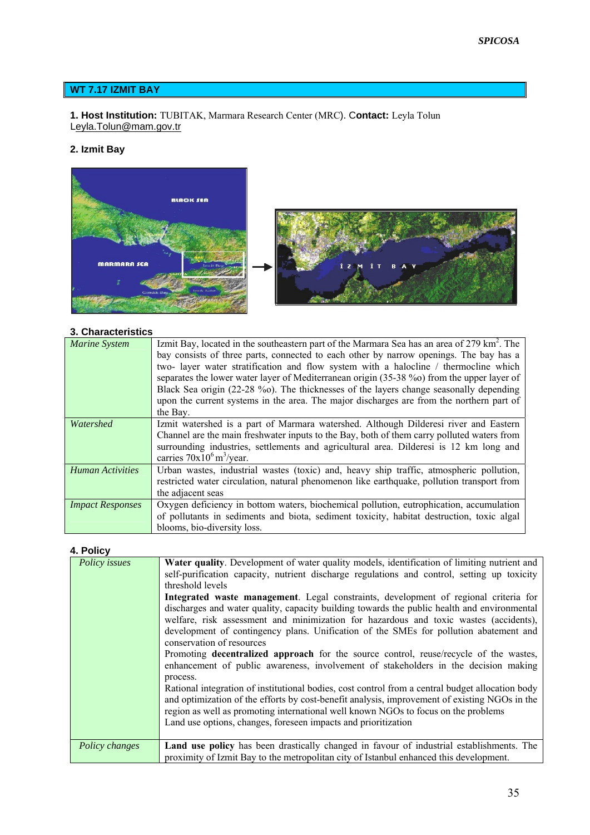#### **WT 7.17 IZMIT BAY**

#### **1. Host Institution:** TUBITAK, Marmara Research Center (MRC). C**ontact:** Leyla Tolun Leyla.Tolun@mam.gov.tr

# **2. Izmit Bay**



# **3. Characteristics**

| <b>Marine System</b>    | Izmit Bay, located in the southeastern part of the Marmara Sea has an area of 279 km <sup>2</sup> . The |
|-------------------------|---------------------------------------------------------------------------------------------------------|
|                         | bay consists of three parts, connected to each other by narrow openings. The bay has a                  |
|                         | two- layer water stratification and flow system with a halocline / thermocline which                    |
|                         | separates the lower water layer of Mediterranean origin (35-38 %o) from the upper layer of              |
|                         | Black Sea origin (22-28 %). The thicknesses of the layers change seasonally depending                   |
|                         | upon the current systems in the area. The major discharges are from the northern part of                |
|                         | the Bay.                                                                                                |
| Watershed               | Izmit watershed is a part of Marmara watershed. Although Dilderesi river and Eastern                    |
|                         | Channel are the main freshwater inputs to the Bay, both of them carry polluted waters from              |
|                         | surrounding industries, settlements and agricultural area. Dilderesi is 12 km long and                  |
|                         | carries $70x10^6$ m <sup>3</sup> /year.                                                                 |
| <b>Human Activities</b> | Urban wastes, industrial wastes (toxic) and, heavy ship traffic, atmospheric pollution,                 |
|                         | restricted water circulation, natural phenomenon like earthquake, pollution transport from              |
|                         | the adjacent seas                                                                                       |
| <b>Impact Responses</b> | Oxygen deficiency in bottom waters, biochemical pollution, eutrophication, accumulation                 |
|                         | of pollutants in sediments and biota, sediment toxicity, habitat destruction, toxic algal               |
|                         | blooms, bio-diversity loss.                                                                             |

# **4. Policy**

| Policy issues  | <b>Water quality.</b> Development of water quality models, identification of limiting nutrient and<br>self-purification capacity, nutrient discharge regulations and control, setting up toxicity<br>threshold levels<br>Integrated waste management. Legal constraints, development of regional criteria for<br>discharges and water quality, capacity building towards the public health and environmental<br>welfare, risk assessment and minimization for hazardous and toxic wastes (accidents),<br>development of contingency plans. Unification of the SMEs for pollution abatement and<br>conservation of resources<br>Promoting <b>decentralized approach</b> for the source control, reuse/recycle of the wastes,<br>enhancement of public awareness, involvement of stakeholders in the decision making<br>process.<br>Rational integration of institutional bodies, cost control from a central budget allocation body<br>and optimization of the efforts by cost-benefit analysis, improvement of existing NGOs in the<br>region as well as promoting international well known NGOs to focus on the problems |
|----------------|---------------------------------------------------------------------------------------------------------------------------------------------------------------------------------------------------------------------------------------------------------------------------------------------------------------------------------------------------------------------------------------------------------------------------------------------------------------------------------------------------------------------------------------------------------------------------------------------------------------------------------------------------------------------------------------------------------------------------------------------------------------------------------------------------------------------------------------------------------------------------------------------------------------------------------------------------------------------------------------------------------------------------------------------------------------------------------------------------------------------------|
|                | Land use options, changes, foreseen impacts and prioritization                                                                                                                                                                                                                                                                                                                                                                                                                                                                                                                                                                                                                                                                                                                                                                                                                                                                                                                                                                                                                                                            |
| Policy changes | <b>Land use policy</b> has been drastically changed in favour of industrial establishments. The<br>proximity of Izmit Bay to the metropolitan city of Istanbul enhanced this development.                                                                                                                                                                                                                                                                                                                                                                                                                                                                                                                                                                                                                                                                                                                                                                                                                                                                                                                                 |